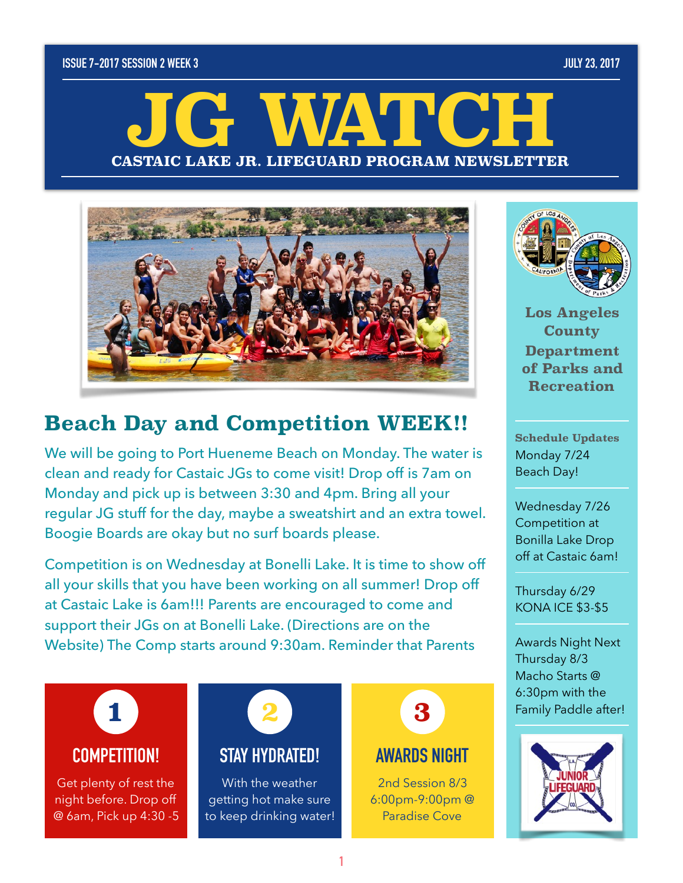#### **ISSUE 7-2017 SESSION 2 WEEK 3 JULY 23, 2017**

# **CASTAIC LAKE JR. LIFEGUARD PROGRAM NEWSLETTER JG WATCH**



## **Beach Day and Competition WEEK!!**

We will be going to Port Hueneme Beach on Monday. The water is clean and ready for Castaic JGs to come visit! Drop off is 7am on Monday and pick up is between 3:30 and 4pm. Bring all your regular JG stuff for the day, maybe a sweatshirt and an extra towel. Boogie Boards are okay but no surf boards please.

Competition is on Wednesday at Bonelli Lake. It is time to show off all your skills that you have been working on all summer! Drop off at Castaic Lake is 6am!!! Parents are encouraged to come and support their JGs on at Bonelli Lake. (Directions are on the Website) The Comp starts around 9:30am. Reminder that Parents

## **COMPETITION! 1**

Get plenty of rest the night before. Drop off @ 6am, Pick up 4:30 -5

## **STAY HYDRATED! 2**

With the weather getting hot make sure to keep drinking water!



## **AWARDS NIGHT**

2nd Session 8/3 6:00pm-9:00pm @ Paradise Cove



**Los Angeles County Department of Parks and Recreation** 

**Schedule Updates**  Monday 7/24 Beach Day!

Wednesday 7/26 Competition at Bonilla Lake Drop off at Castaic 6am!

Thursday 6/29 KONA ICE \$3-\$5

Awards Night Next Thursday 8/3 Macho Starts @ 6:30pm with the Family Paddle after!